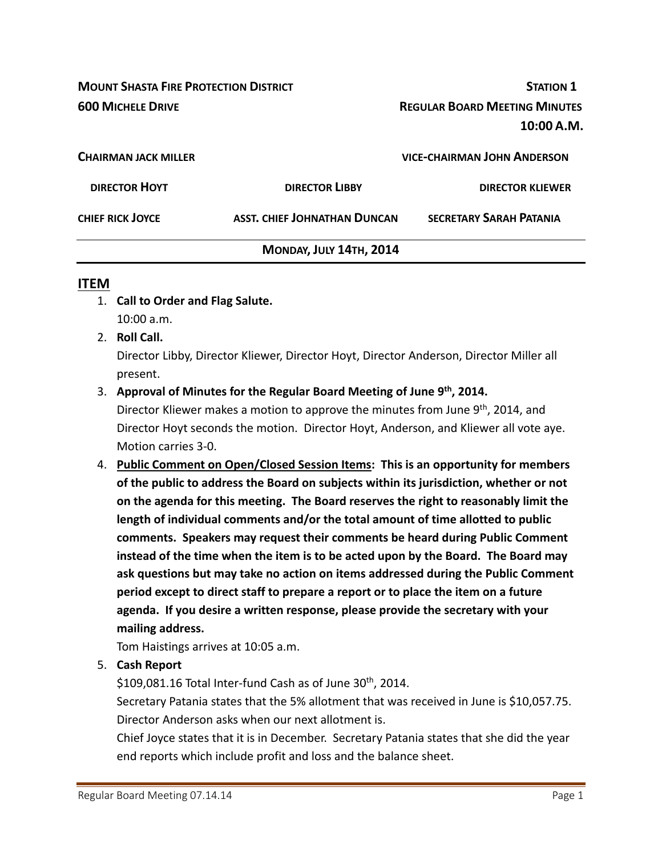**MOUNT SHASTA FIRE PROTECTION DISTRICT STATION 1 600 MICHELE DRIVE REGULAR BOARD MEETING MINUTES 10:00 A.M. CHAIRMAN JACK MILLER VICE‐CHAIRMAN JOHN ANDERSON DIRECTOR HOYT DIRECTOR LIBBY DIRECTOR KLIEWER CHIEF RICK JOYCE ASST. CHIEF JOHNATHAN DUNCAN SECRETARY SARAH PATANIA MONDAY, JULY 14TH, 2014**

#### **ITEM**

- 1. **Call to Order and Flag Salute.** 10:00 a.m.
- 2. **Roll Call.**

Director Libby, Director Kliewer, Director Hoyt, Director Anderson, Director Miller all present.

3. **Approval of Minutes for the Regular Board Meeting of June 9th, 2014.**

Director Kliewer makes a motion to approve the minutes from June 9<sup>th</sup>, 2014, and Director Hoyt seconds the motion. Director Hoyt, Anderson, and Kliewer all vote aye. Motion carries 3‐0.

4. **Public Comment on Open/Closed Session Items: This is an opportunity for members of the public to address the Board on subjects within its jurisdiction, whether or not on the agenda for this meeting. The Board reserves the right to reasonably limit the length of individual comments and/or the total amount of time allotted to public comments. Speakers may request their comments be heard during Public Comment instead of the time when the item is to be acted upon by the Board. The Board may ask questions but may take no action on items addressed during the Public Comment period except to direct staff to prepare a report or to place the item on a future agenda. If you desire a written response, please provide the secretary with your mailing address.**

Tom Haistings arrives at 10:05 a.m.

5. **Cash Report** 

 $$109,081.16$  Total Inter-fund Cash as of June 30<sup>th</sup>, 2014.

Secretary Patania states that the 5% allotment that was received in June is \$10,057.75. Director Anderson asks when our next allotment is.

Chief Joyce states that it is in December. Secretary Patania states that she did the year end reports which include profit and loss and the balance sheet.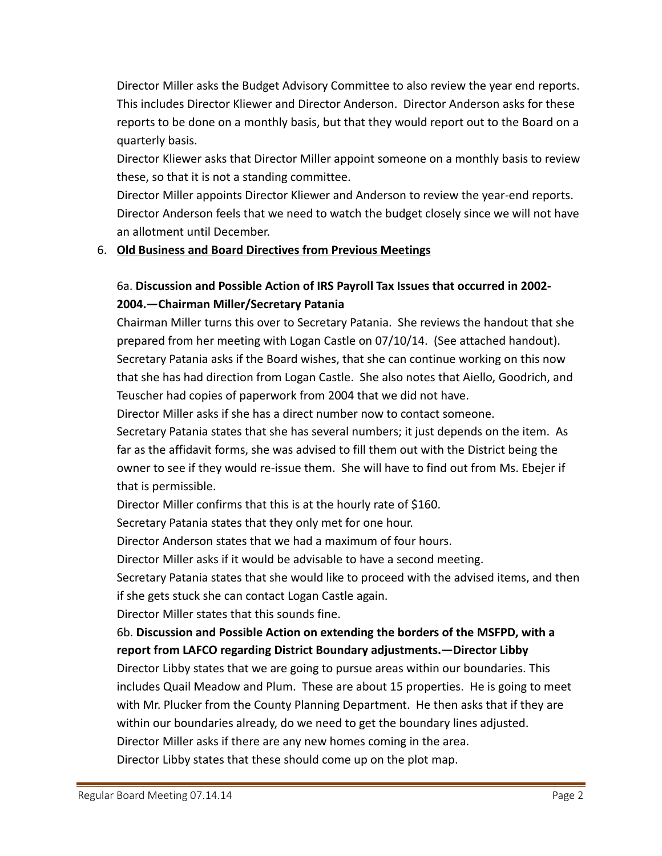Director Miller asks the Budget Advisory Committee to also review the year end reports. This includes Director Kliewer and Director Anderson. Director Anderson asks for these reports to be done on a monthly basis, but that they would report out to the Board on a quarterly basis.

Director Kliewer asks that Director Miller appoint someone on a monthly basis to review these, so that it is not a standing committee.

Director Miller appoints Director Kliewer and Anderson to review the year‐end reports. Director Anderson feels that we need to watch the budget closely since we will not have an allotment until December.

#### 6. **Old Business and Board Directives from Previous Meetings**

## 6a. **Discussion and Possible Action of IRS Payroll Tax Issues that occurred in 2002‐ 2004.—Chairman Miller/Secretary Patania**

Chairman Miller turns this over to Secretary Patania. She reviews the handout that she prepared from her meeting with Logan Castle on 07/10/14. (See attached handout). Secretary Patania asks if the Board wishes, that she can continue working on this now that she has had direction from Logan Castle. She also notes that Aiello, Goodrich, and Teuscher had copies of paperwork from 2004 that we did not have.

Director Miller asks if she has a direct number now to contact someone.

Secretary Patania states that she has several numbers; it just depends on the item. As far as the affidavit forms, she was advised to fill them out with the District being the owner to see if they would re‐issue them. She will have to find out from Ms. Ebejer if that is permissible.

Director Miller confirms that this is at the hourly rate of \$160.

Secretary Patania states that they only met for one hour.

Director Anderson states that we had a maximum of four hours.

Director Miller asks if it would be advisable to have a second meeting.

Secretary Patania states that she would like to proceed with the advised items, and then if she gets stuck she can contact Logan Castle again.

Director Miller states that this sounds fine.

## 6b. **Discussion and Possible Action on extending the borders of the MSFPD, with a report from LAFCO regarding District Boundary adjustments.—Director Libby**

Director Libby states that we are going to pursue areas within our boundaries. This includes Quail Meadow and Plum. These are about 15 properties. He is going to meet with Mr. Plucker from the County Planning Department. He then asks that if they are within our boundaries already, do we need to get the boundary lines adjusted. Director Miller asks if there are any new homes coming in the area. Director Libby states that these should come up on the plot map.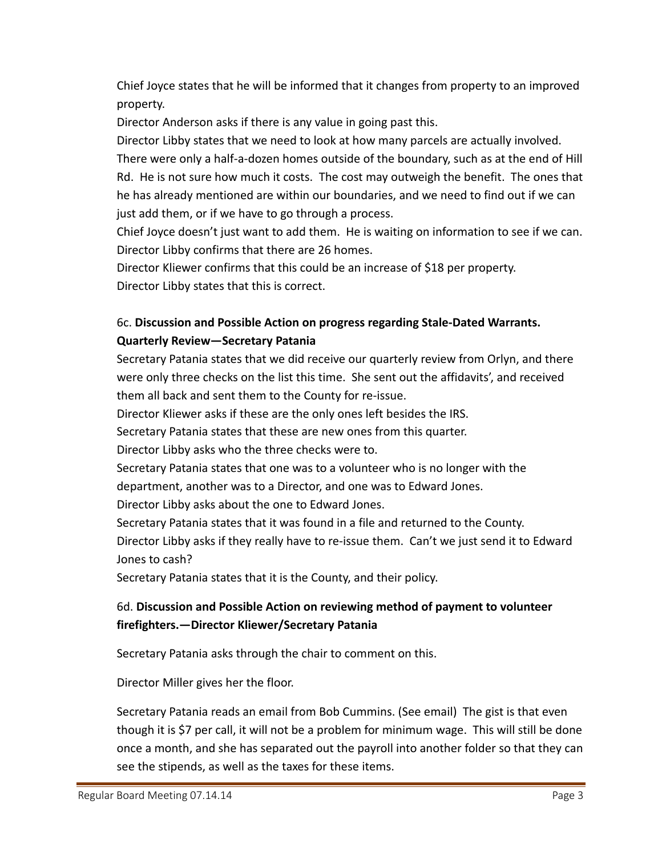Chief Joyce states that he will be informed that it changes from property to an improved property.

Director Anderson asks if there is any value in going past this.

Director Libby states that we need to look at how many parcels are actually involved. There were only a half‐a‐dozen homes outside of the boundary, such as at the end of Hill Rd. He is not sure how much it costs. The cost may outweigh the benefit. The ones that he has already mentioned are within our boundaries, and we need to find out if we can just add them, or if we have to go through a process.

Chief Joyce doesn't just want to add them. He is waiting on information to see if we can. Director Libby confirms that there are 26 homes.

Director Kliewer confirms that this could be an increase of \$18 per property. Director Libby states that this is correct.

# 6c. **Discussion and Possible Action on progress regarding Stale‐Dated Warrants. Quarterly Review—Secretary Patania**

Secretary Patania states that we did receive our quarterly review from Orlyn, and there were only three checks on the list this time. She sent out the affidavits', and received them all back and sent them to the County for re‐issue.

Director Kliewer asks if these are the only ones left besides the IRS.

Secretary Patania states that these are new ones from this quarter.

Director Libby asks who the three checks were to.

Secretary Patania states that one was to a volunteer who is no longer with the department, another was to a Director, and one was to Edward Jones.

Director Libby asks about the one to Edward Jones.

Secretary Patania states that it was found in a file and returned to the County. Director Libby asks if they really have to re‐issue them. Can't we just send it to Edward Jones to cash?

Secretary Patania states that it is the County, and their policy.

# 6d. **Discussion and Possible Action on reviewing method of payment to volunteer firefighters.—Director Kliewer/Secretary Patania**

Secretary Patania asks through the chair to comment on this.

Director Miller gives her the floor.

Secretary Patania reads an email from Bob Cummins. (See email) The gist is that even though it is \$7 per call, it will not be a problem for minimum wage. This will still be done once a month, and she has separated out the payroll into another folder so that they can see the stipends, as well as the taxes for these items.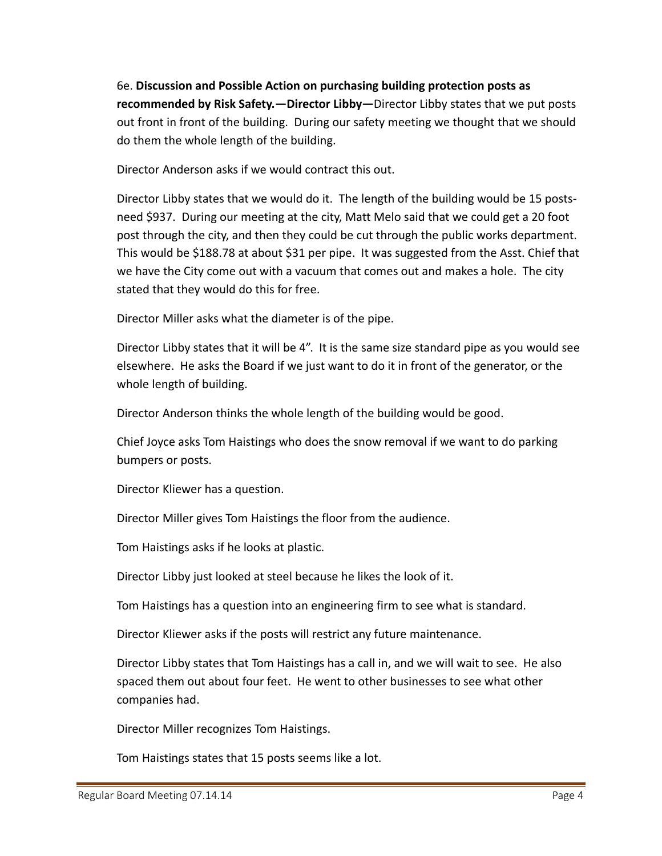6e. **Discussion and Possible Action on purchasing building protection posts as recommended by Risk Safety.—Director Libby—**Director Libby states that we put posts out front in front of the building. During our safety meeting we thought that we should do them the whole length of the building.

Director Anderson asks if we would contract this out.

Director Libby states that we would do it. The length of the building would be 15 posts‐ need \$937. During our meeting at the city, Matt Melo said that we could get a 20 foot post through the city, and then they could be cut through the public works department. This would be \$188.78 at about \$31 per pipe. It was suggested from the Asst. Chief that we have the City come out with a vacuum that comes out and makes a hole. The city stated that they would do this for free.

Director Miller asks what the diameter is of the pipe.

Director Libby states that it will be 4". It is the same size standard pipe as you would see elsewhere. He asks the Board if we just want to do it in front of the generator, or the whole length of building.

Director Anderson thinks the whole length of the building would be good.

Chief Joyce asks Tom Haistings who does the snow removal if we want to do parking bumpers or posts.

Director Kliewer has a question.

Director Miller gives Tom Haistings the floor from the audience.

Tom Haistings asks if he looks at plastic.

Director Libby just looked at steel because he likes the look of it.

Tom Haistings has a question into an engineering firm to see what is standard.

Director Kliewer asks if the posts will restrict any future maintenance.

Director Libby states that Tom Haistings has a call in, and we will wait to see. He also spaced them out about four feet. He went to other businesses to see what other companies had.

Director Miller recognizes Tom Haistings.

Tom Haistings states that 15 posts seems like a lot.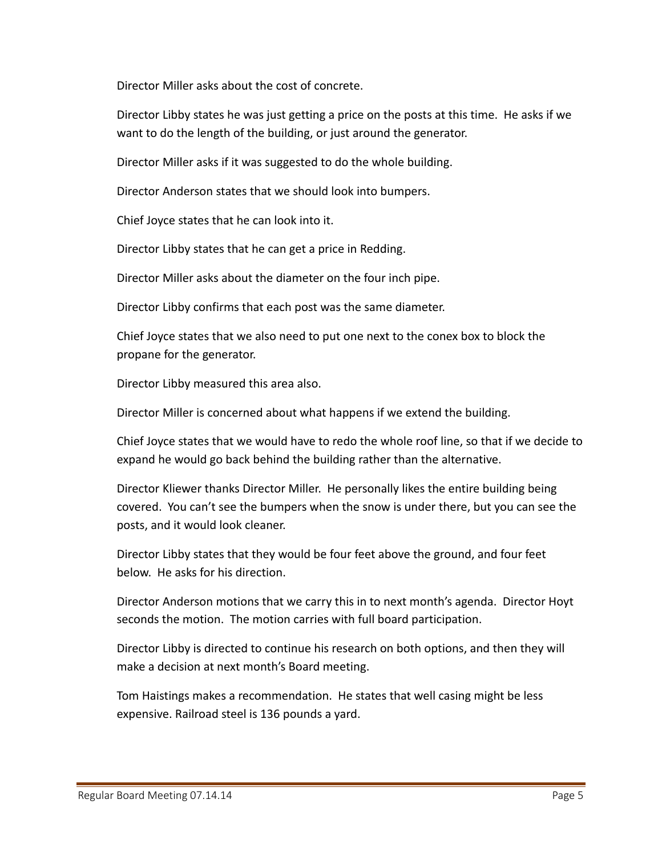Director Miller asks about the cost of concrete.

Director Libby states he was just getting a price on the posts at this time. He asks if we want to do the length of the building, or just around the generator.

Director Miller asks if it was suggested to do the whole building.

Director Anderson states that we should look into bumpers.

Chief Joyce states that he can look into it.

Director Libby states that he can get a price in Redding.

Director Miller asks about the diameter on the four inch pipe.

Director Libby confirms that each post was the same diameter.

Chief Joyce states that we also need to put one next to the conex box to block the propane for the generator.

Director Libby measured this area also.

Director Miller is concerned about what happens if we extend the building.

Chief Joyce states that we would have to redo the whole roof line, so that if we decide to expand he would go back behind the building rather than the alternative.

Director Kliewer thanks Director Miller. He personally likes the entire building being covered. You can't see the bumpers when the snow is under there, but you can see the posts, and it would look cleaner.

Director Libby states that they would be four feet above the ground, and four feet below. He asks for his direction.

Director Anderson motions that we carry this in to next month's agenda. Director Hoyt seconds the motion. The motion carries with full board participation.

Director Libby is directed to continue his research on both options, and then they will make a decision at next month's Board meeting.

Tom Haistings makes a recommendation. He states that well casing might be less expensive. Railroad steel is 136 pounds a yard.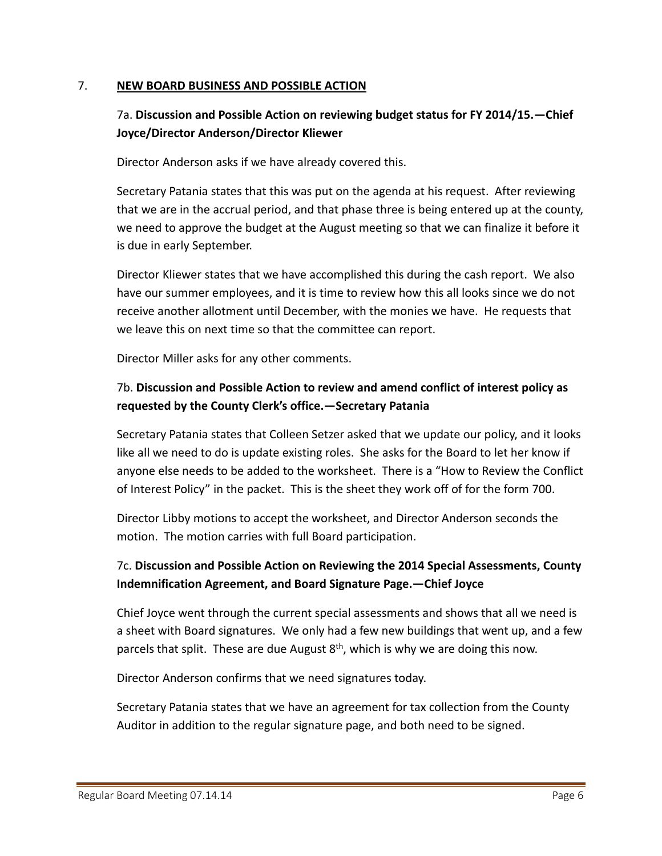#### 7. **NEW BOARD BUSINESS AND POSSIBLE ACTION**

## 7a. **Discussion and Possible Action on reviewing budget status for FY 2014/15.—Chief Joyce/Director Anderson/Director Kliewer**

Director Anderson asks if we have already covered this.

Secretary Patania states that this was put on the agenda at his request. After reviewing that we are in the accrual period, and that phase three is being entered up at the county, we need to approve the budget at the August meeting so that we can finalize it before it is due in early September.

Director Kliewer states that we have accomplished this during the cash report. We also have our summer employees, and it is time to review how this all looks since we do not receive another allotment until December, with the monies we have. He requests that we leave this on next time so that the committee can report.

Director Miller asks for any other comments.

# 7b. **Discussion and Possible Action to review and amend conflict of interest policy as requested by the County Clerk's office.—Secretary Patania**

Secretary Patania states that Colleen Setzer asked that we update our policy, and it looks like all we need to do is update existing roles. She asks for the Board to let her know if anyone else needs to be added to the worksheet. There is a "How to Review the Conflict of Interest Policy" in the packet. This is the sheet they work off of for the form 700.

Director Libby motions to accept the worksheet, and Director Anderson seconds the motion. The motion carries with full Board participation.

## 7c. **Discussion and Possible Action on Reviewing the 2014 Special Assessments, County Indemnification Agreement, and Board Signature Page.—Chief Joyce**

Chief Joyce went through the current special assessments and shows that all we need is a sheet with Board signatures. We only had a few new buildings that went up, and a few parcels that split. These are due August  $8<sup>th</sup>$ , which is why we are doing this now.

Director Anderson confirms that we need signatures today.

Secretary Patania states that we have an agreement for tax collection from the County Auditor in addition to the regular signature page, and both need to be signed.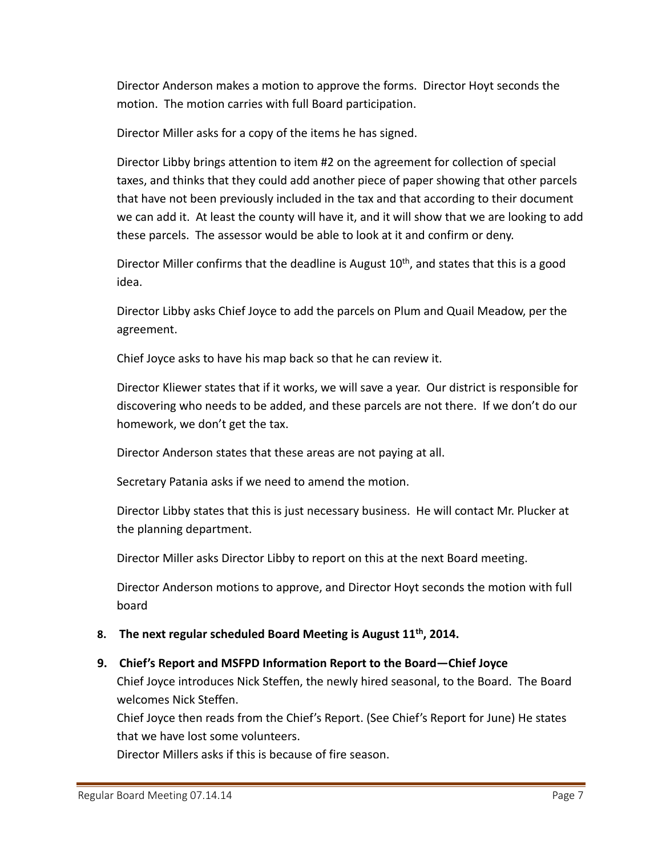Director Anderson makes a motion to approve the forms. Director Hoyt seconds the motion. The motion carries with full Board participation.

Director Miller asks for a copy of the items he has signed.

Director Libby brings attention to item #2 on the agreement for collection of special taxes, and thinks that they could add another piece of paper showing that other parcels that have not been previously included in the tax and that according to their document we can add it. At least the county will have it, and it will show that we are looking to add these parcels. The assessor would be able to look at it and confirm or deny.

Director Miller confirms that the deadline is August  $10<sup>th</sup>$ , and states that this is a good idea.

Director Libby asks Chief Joyce to add the parcels on Plum and Quail Meadow, per the agreement.

Chief Joyce asks to have his map back so that he can review it.

Director Kliewer states that if it works, we will save a year. Our district is responsible for discovering who needs to be added, and these parcels are not there. If we don't do our homework, we don't get the tax.

Director Anderson states that these areas are not paying at all.

Secretary Patania asks if we need to amend the motion.

Director Libby states that this is just necessary business. He will contact Mr. Plucker at the planning department.

Director Miller asks Director Libby to report on this at the next Board meeting.

Director Anderson motions to approve, and Director Hoyt seconds the motion with full board

## **8. The next regular scheduled Board Meeting is August 11th, 2014.**

## **9. Chief's Report and MSFPD Information Report to the Board—Chief Joyce**

Chief Joyce introduces Nick Steffen, the newly hired seasonal, to the Board. The Board welcomes Nick Steffen.

Chief Joyce then reads from the Chief's Report. (See Chief's Report for June) He states that we have lost some volunteers.

Director Millers asks if this is because of fire season.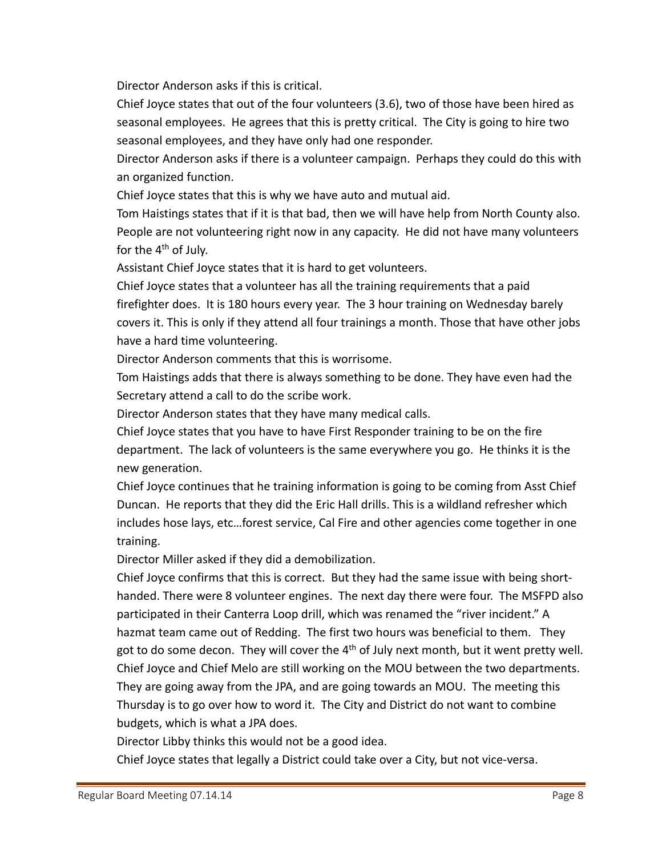Director Anderson asks if this is critical.

Chief Joyce states that out of the four volunteers (3.6), two of those have been hired as seasonal employees. He agrees that this is pretty critical. The City is going to hire two seasonal employees, and they have only had one responder.

Director Anderson asks if there is a volunteer campaign. Perhaps they could do this with an organized function.

Chief Joyce states that this is why we have auto and mutual aid.

Tom Haistings states that if it is that bad, then we will have help from North County also. People are not volunteering right now in any capacity. He did not have many volunteers for the 4<sup>th</sup> of July.

Assistant Chief Joyce states that it is hard to get volunteers.

Chief Joyce states that a volunteer has all the training requirements that a paid firefighter does. It is 180 hours every year. The 3 hour training on Wednesday barely covers it. This is only if they attend all four trainings a month. Those that have other jobs have a hard time volunteering.

Director Anderson comments that this is worrisome.

Tom Haistings adds that there is always something to be done. They have even had the Secretary attend a call to do the scribe work.

Director Anderson states that they have many medical calls.

Chief Joyce states that you have to have First Responder training to be on the fire department. The lack of volunteers is the same everywhere you go. He thinks it is the new generation.

Chief Joyce continues that he training information is going to be coming from Asst Chief Duncan. He reports that they did the Eric Hall drills. This is a wildland refresher which includes hose lays, etc…forest service, Cal Fire and other agencies come together in one training.

Director Miller asked if they did a demobilization.

Chief Joyce confirms that this is correct. But they had the same issue with being short‐ handed. There were 8 volunteer engines. The next day there were four. The MSFPD also participated in their Canterra Loop drill, which was renamed the "river incident." A hazmat team came out of Redding. The first two hours was beneficial to them. They got to do some decon. They will cover the  $4<sup>th</sup>$  of July next month, but it went pretty well. Chief Joyce and Chief Melo are still working on the MOU between the two departments. They are going away from the JPA, and are going towards an MOU. The meeting this Thursday is to go over how to word it. The City and District do not want to combine budgets, which is what a JPA does.

Director Libby thinks this would not be a good idea.

Chief Joyce states that legally a District could take over a City, but not vice‐versa.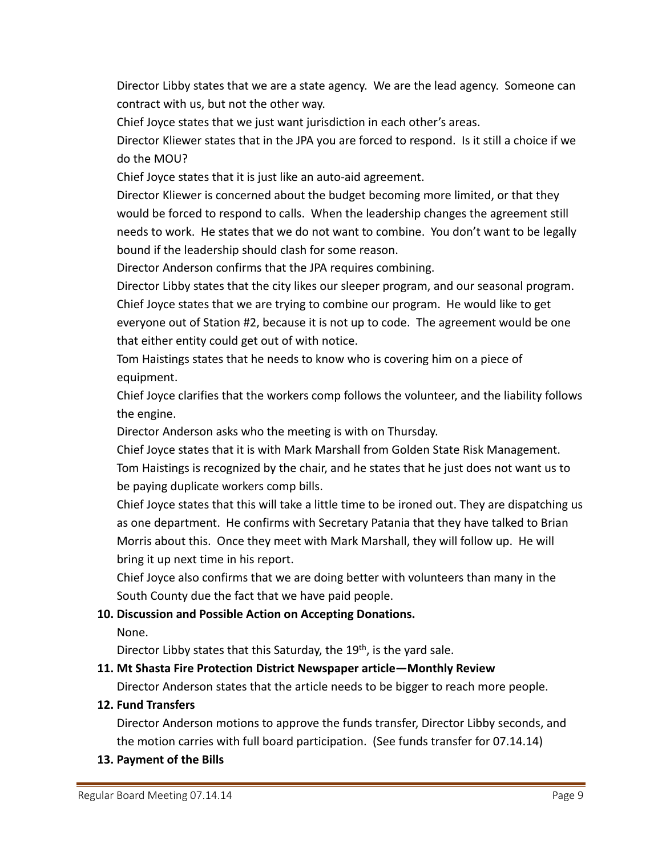Director Libby states that we are a state agency. We are the lead agency. Someone can contract with us, but not the other way.

Chief Joyce states that we just want jurisdiction in each other's areas.

Director Kliewer states that in the JPA you are forced to respond. Is it still a choice if we do the MOU?

Chief Joyce states that it is just like an auto‐aid agreement.

Director Kliewer is concerned about the budget becoming more limited, or that they would be forced to respond to calls. When the leadership changes the agreement still needs to work. He states that we do not want to combine. You don't want to be legally bound if the leadership should clash for some reason.

Director Anderson confirms that the JPA requires combining.

Director Libby states that the city likes our sleeper program, and our seasonal program. Chief Joyce states that we are trying to combine our program. He would like to get everyone out of Station #2, because it is not up to code. The agreement would be one that either entity could get out of with notice.

Tom Haistings states that he needs to know who is covering him on a piece of equipment.

Chief Joyce clarifies that the workers comp follows the volunteer, and the liability follows the engine.

Director Anderson asks who the meeting is with on Thursday.

Chief Joyce states that it is with Mark Marshall from Golden State Risk Management. Tom Haistings is recognized by the chair, and he states that he just does not want us to be paying duplicate workers comp bills.

Chief Joyce states that this will take a little time to be ironed out. They are dispatching us as one department. He confirms with Secretary Patania that they have talked to Brian Morris about this. Once they meet with Mark Marshall, they will follow up. He will bring it up next time in his report.

Chief Joyce also confirms that we are doing better with volunteers than many in the South County due the fact that we have paid people.

## **10. Discussion and Possible Action on Accepting Donations.**

None.

Director Libby states that this Saturday, the  $19<sup>th</sup>$ , is the yard sale.

## **11. Mt Shasta Fire Protection District Newspaper article—Monthly Review**

Director Anderson states that the article needs to be bigger to reach more people.

#### **12. Fund Transfers**

Director Anderson motions to approve the funds transfer, Director Libby seconds, and the motion carries with full board participation. (See funds transfer for 07.14.14)

**13. Payment of the Bills**